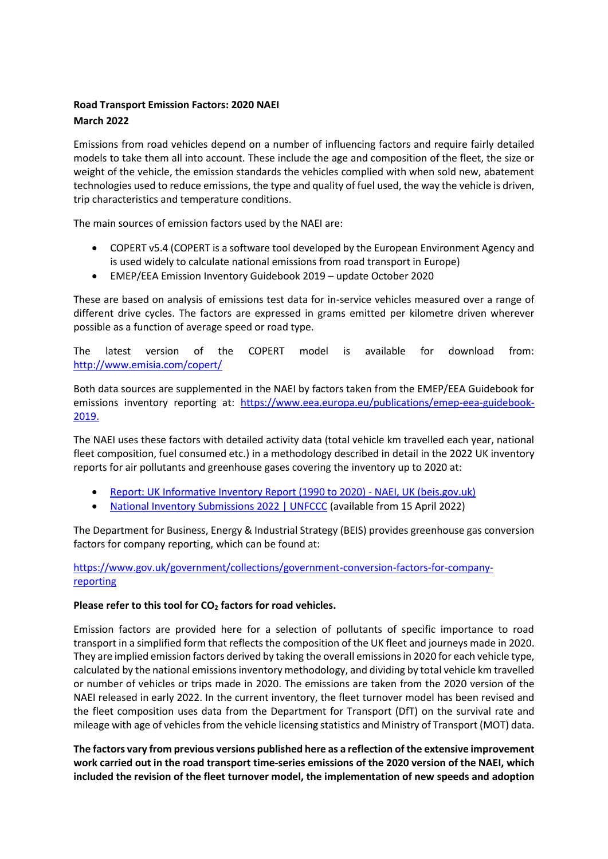## **Road Transport Emission Factors: 2020 NAEI March 2022**

Emissions from road vehicles depend on a number of influencing factors and require fairly detailed models to take them all into account. These include the age and composition of the fleet, the size or weight of the vehicle, the emission standards the vehicles complied with when sold new, abatement technologies used to reduce emissions, the type and quality of fuel used, the way the vehicle is driven, trip characteristics and temperature conditions.

The main sources of emission factors used by the NAEI are:

- COPERT v5.4 (COPERT is a software tool developed by the European Environment Agency and is used widely to calculate national emissions from road transport in Europe)
- EMEP/EEA Emission Inventory Guidebook 2019 update October 2020

These are based on analysis of emissions test data for in-service vehicles measured over a range of different drive cycles. The factors are expressed in grams emitted per kilometre driven wherever possible as a function of average speed or road type.

The latest version of the COPERT model is available for download from: <http://www.emisia.com/copert/>

Both data sources are supplemented in the NAEI by factors taken from the EMEP/EEA Guidebook for emissions inventory reporting at: [https://www.eea.europa.eu/publications/emep-eea-guidebook-](https://www.eea.europa.eu/publications/emep-eea-guidebook-2019)[2019.](https://www.eea.europa.eu/publications/emep-eea-guidebook-2019)

The NAEI uses these factors with detailed activity data (total vehicle km travelled each year, national fleet composition, fuel consumed etc.) in a methodology described in detail in the 2022 UK inventory reports for air pollutants and greenhouse gases covering the inventory up to 2020 at:

- [Report: UK Informative Inventory Report \(1990 to 2020\) -](https://naei.beis.gov.uk/reports/reports?report_id=1071) NAEI, UK (beis.gov.uk)
- [National Inventory Submissions 2022 | UNFCCC](https://unfccc.int/ghg-inventories-annex-i-parties/2022) (available from 15 April 2022)

The Department for Business, Energy & Industrial Strategy (BEIS) provides greenhouse gas conversion factors for company reporting, which can be found at:

[https://www.gov.uk/government/collections/government-conversion-factors-for-company](https://www.gov.uk/government/collections/government-conversion-factors-for-company-reporting)[reporting](https://www.gov.uk/government/collections/government-conversion-factors-for-company-reporting)

## **Please refer to this tool for CO<sup>2</sup> factors for road vehicles.**

Emission factors are provided here for a selection of pollutants of specific importance to road transport in a simplified form that reflects the composition of the UK fleet and journeys made in 2020. They are implied emission factors derived by taking the overall emissions in 2020 for each vehicle type, calculated by the national emissions inventory methodology, and dividing by total vehicle km travelled or number of vehicles or trips made in 2020. The emissions are taken from the 2020 version of the NAEI released in early 2022. In the current inventory, the fleet turnover model has been revised and the fleet composition uses data from the Department for Transport (DfT) on the survival rate and mileage with age of vehicles from the vehicle licensing statistics and Ministry of Transport (MOT) data.

**The factors vary from previous versions published here as a reflection of the extensive improvement work carried out in the road transport time-series emissions of the 2020 version of the NAEI, which included the revision of the fleet turnover model, the implementation of new speeds and adoption**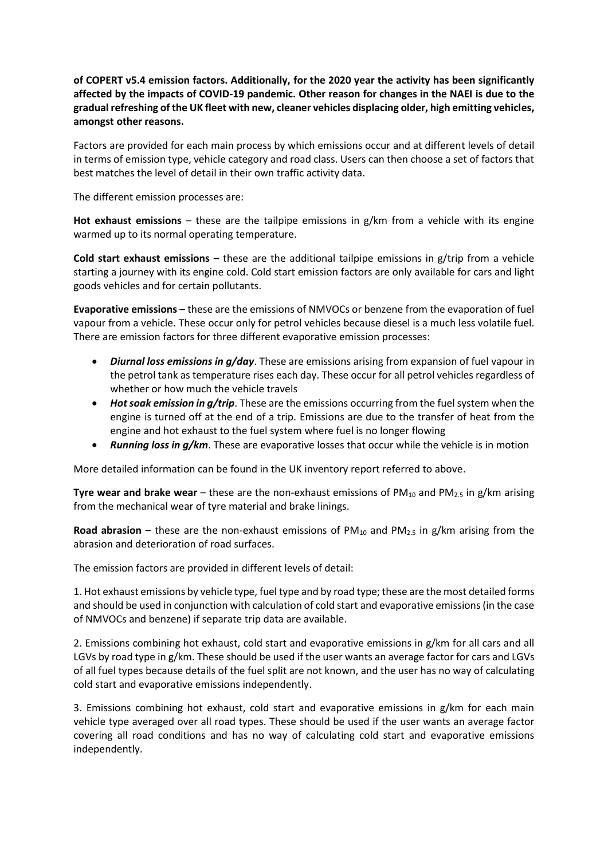**of COPERT v5.4 emission factors. Additionally, for the 2020 year the activity has been significantly affected by the impacts of COVID-19 pandemic. Other reason for changes in the NAEI is due to the gradual refreshing of the UK fleet with new, cleaner vehicles displacing older, high emitting vehicles, amongst other reasons.**

Factors are provided for each main process by which emissions occur and at different levels of detail in terms of emission type, vehicle category and road class. Users can then choose a set of factors that best matches the level of detail in their own traffic activity data.

The different emission processes are:

**Hot exhaust emissions** – these are the tailpipe emissions in g/km from a vehicle with its engine warmed up to its normal operating temperature.

**Cold start exhaust emissions** – these are the additional tailpipe emissions in g/trip from a vehicle starting a journey with its engine cold. Cold start emission factors are only available for cars and light goods vehicles and for certain pollutants.

**Evaporative emissions** – these are the emissions of NMVOCs or benzene from the evaporation of fuel vapour from a vehicle. These occur only for petrol vehicles because diesel is a much less volatile fuel. There are emission factors for three different evaporative emission processes:

- *Diurnal loss emissions in g/day*. These are emissions arising from expansion of fuel vapour in the petrol tank as temperature rises each day. These occur for all petrol vehicles regardless of whether or how much the vehicle travels
- *Hot soak emission in g/trip*. These are the emissions occurring from the fuel system when the engine is turned off at the end of a trip. Emissions are due to the transfer of heat from the engine and hot exhaust to the fuel system where fuel is no longer flowing
- *Running loss in g/km*. These are evaporative losses that occur while the vehicle is in motion

More detailed information can be found in the UK inventory report referred to above.

**Tyre wear and brake wear** – these are the non-exhaust emissions of PM<sub>10</sub> and PM<sub>2.5</sub> in g/km arising from the mechanical wear of tyre material and brake linings.

**Road abrasion** – these are the non-exhaust emissions of  $PM_{10}$  and  $PM_{2.5}$  in g/km arising from the abrasion and deterioration of road surfaces.

The emission factors are provided in different levels of detail:

1. Hot exhaust emissions by vehicle type, fuel type and by road type; these are the most detailed forms and should be used in conjunction with calculation of cold start and evaporative emissions (in the case of NMVOCs and benzene) if separate trip data are available.

2. Emissions combining hot exhaust, cold start and evaporative emissions in g/km for all cars and all LGVs by road type in g/km. These should be used if the user wants an average factor for cars and LGVs of all fuel types because details of the fuel split are not known, and the user has no way of calculating cold start and evaporative emissions independently.

3. Emissions combining hot exhaust, cold start and evaporative emissions in g/km for each main vehicle type averaged over all road types. These should be used if the user wants an average factor covering all road conditions and has no way of calculating cold start and evaporative emissions independently.